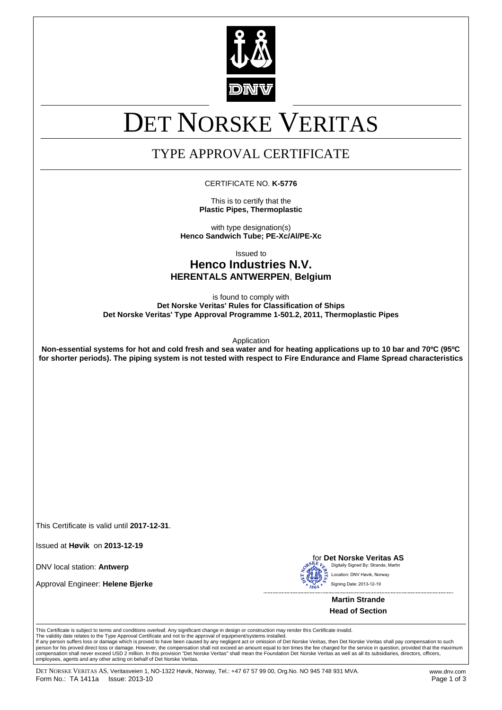

# DET NORSKE VERITAS

# TYPE APPROVAL CERTIFICATE

#### CERTIFICATE NO. **K-5776**

This is to certify that the **Plastic Pipes, Thermoplastic**

with type designation(s) **Henco Sandwich Tube; PE-Xc/Al/PE-Xc**

Issued to

# **Henco Industries N.V. HERENTALS ANTWERPEN**, **Belgium**

is found to comply with **Det Norske Veritas' Rules for Classification of Ships Det Norske Veritas' Type Approval Programme 1-501.2, 2011, Thermoplastic Pipes**

Application

**Non-essential systems for hot and cold fresh and sea water and for heating applications up to 10 bar and 70ºC (95ºC for shorter periods). The piping system is not tested with respect to Fire Endurance and Flame Spread characteristics**

This Certificate is valid until **2017-12-31**.

Issued at **Høvik** on **2013-12-19**

DNV local station: **Antwerp**

Approval Engineer: **Helene Bjerke**



for **Det Norske Veritas AS** Digitally Signed By: Strande, Martin Signing Date: 2013-12-19 ation: DNV Høvik, Norway

> **Martin Strande Head of Section**

This Certificate is subject to terms and conditions overleaf. Any significant change in design or construction may render this Certificate invalid.

The validity date relates to the Type Approval Certificate and not to the approval of equipment/systems installed.<br>If any person suffers loss or damage which is proved to have been caused by any negligent act or omission o person for his proved direct loss or damage. However, the compensation shall not exceed an amount equal to ten times the fee charged for the service in question, provided that the maximum<br>compensation shall never exceed US employees, agents and any other acting on behalf of Det Norske Veritas.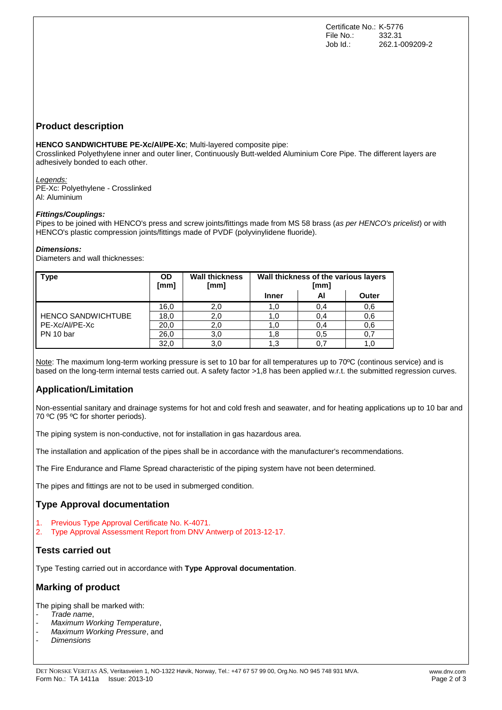## **Product description**

**HENCO SANDWICHTUBE PE-Xc/Al/PE-Xc**; Multi-layered composite pipe:

Crosslinked Polyethylene inner and outer liner, Continuously Butt-welded Aluminium Core Pipe. The different layers are adhesively bonded to each other.

*Legends:* PE-Xc: Polyethylene - Crosslinked Al: Aluminium

#### *Fittings/Couplings:*

Pipes to be joined with HENCO's press and screw joints/fittings made from MS 58 brass (*as per HENCO's pricelist*) or with HENCO's plastic compression joints/fittings made of PVDF (polyvinylidene fluoride).

#### *Dimensions:*

Diameters and wall thicknesses:

| <b>Type</b>                                              | <b>OD</b><br>[mm] | <b>Wall thickness</b><br>[mm] | Wall thickness of the various layers<br>[mm] |     |       |
|----------------------------------------------------------|-------------------|-------------------------------|----------------------------------------------|-----|-------|
|                                                          |                   |                               | Inner                                        | ΑI  | Outer |
| <b>HENCO SANDWICHTUBE</b><br>PE-Xc/Al/PE-Xc<br>PN 10 bar | 16,0              | 2.0                           | 1.0                                          | 0,4 | 0,6   |
|                                                          | 18,0              | 2.0                           | l.O                                          | 0,4 | 0.6   |
|                                                          | 20,0              | 2.0                           | 1.0                                          | 0,4 | 0,6   |
|                                                          | 26,0              | 3,0                           | 1,8                                          | 0,5 | 0,7   |
|                                                          | 32,0              | 3.0                           | 1.3                                          |     |       |

Note: The maximum long-term working pressure is set to 10 bar for all temperatures up to 70ºC (continous service) and is based on the long-term internal tests carried out. A safety factor >1,8 has been applied w.r.t. the submitted regression curves.

# **Application/Limitation**

Non-essential sanitary and drainage systems for hot and cold fresh and seawater, and for heating applications up to 10 bar and 70 °C (95 °C for shorter periods).

The piping system is non-conductive, not for installation in gas hazardous area.

The installation and application of the pipes shall be in accordance with the manufacturer's recommendations.

The Fire Endurance and Flame Spread characteristic of the piping system have not been determined.

The pipes and fittings are not to be used in submerged condition.

#### **Type Approval documentation**

- 1. Previous Type Approval Certificate No. K-4071.
- 2. Type Approval Assessment Report from DNV Antwerp of 2013-12-17.

#### **Tests carried out**

Type Testing carried out in accordance with **Type Approval documentation**.

# **Marking of product**

The piping shall be marked with:

- *Trade name*,
- *Maximum Working Temperature*,
- *Maximum Working Pressure*, and
- *Dimensions*